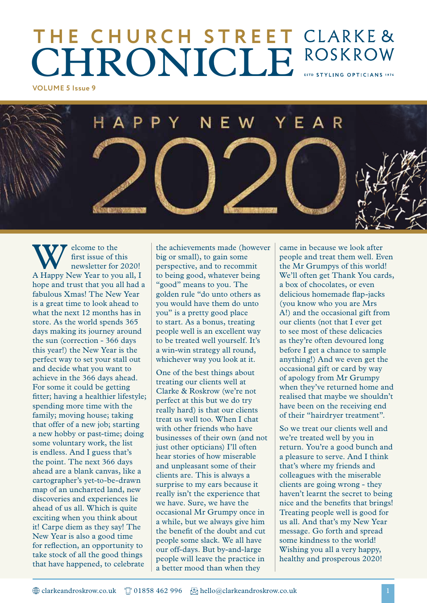# **THE CHURCH STREET CHRONICLE** ROSKROW

**VOLUME 5 Issue 9**

YEAR F.

Welcome to the<br>
first issue of this<br>
newsletter for 2020!<br>
A Happy New Year to you all, I first issue of this newsletter for 2020! hope and trust that you all had a fabulous Xmas! The New Year is a great time to look ahead to what the next 12 months has in store. As the world spends 365 days making its journey around the sun (correction - 366 days this year!) the New Year is the perfect way to set your stall out and decide what you want to achieve in the 366 days ahead. For some it could be getting fitter; having a healthier lifestyle; spending more time with the family; moving house; taking that offer of a new job; starting a new hobby or past-time; doing some voluntary work, the list is endless. And I guess that's the point. The next 366 days ahead are a blank canvas, like a cartographer's yet-to-be-drawn map of an uncharted land, new discoveries and experiences lie ahead of us all. Which is quite exciting when you think about it! Carpe diem as they say! The New Year is also a good time for reflection, an opportunity to take stock of all the good things that have happened, to celebrate

the achievements made (however big or small), to gain some perspective, and to recommit to being good, whatever being "good" means to you. The golden rule "do unto others as you would have them do unto you" is a pretty good place to start. As a bonus, treating people well is an excellent way to be treated well yourself. It's a win-win strategy all round, whichever way you look at it.

One of the best things about treating our clients well at Clarke & Roskrow (we're not perfect at this but we do try really hard) is that our clients treat us well too. When I chat with other friends who have businesses of their own (and not just other opticians) I'll often hear stories of how miserable and unpleasant some of their clients are. This is always a surprise to my ears because it really isn't the experience that we have. Sure, we have the occasional Mr Grumpy once in a while, but we always give him the benefit of the doubt and cut people some slack. We all have our off-days. But by-and-large people will leave the practice in a better mood than when they

came in because we look after people and treat them well. Even the Mr Grumpys of this world! We'll often get Thank You cards, a box of chocolates, or even delicious homemade flap-jacks (you know who you are Mrs A!) and the occasional gift from our clients (not that I ever get to see most of these delicacies as they're often devoured long before I get a chance to sample anything!) And we even get the occasional gift or card by way of apology from Mr Grumpy when they've returned home and realised that maybe we shouldn't have been on the receiving end of their "hairdryer treatment".

So we treat our clients well and we're treated well by you in return. You're a good bunch and a pleasure to serve. And I think that's where my friends and colleagues with the miserable clients are going wrong - they haven't learnt the secret to being nice and the benefits that brings! Treating people well is good for us all. And that's my New Year message. Go forth and spread some kindness to the world! Wishing you all a very happy, healthy and prosperous 2020!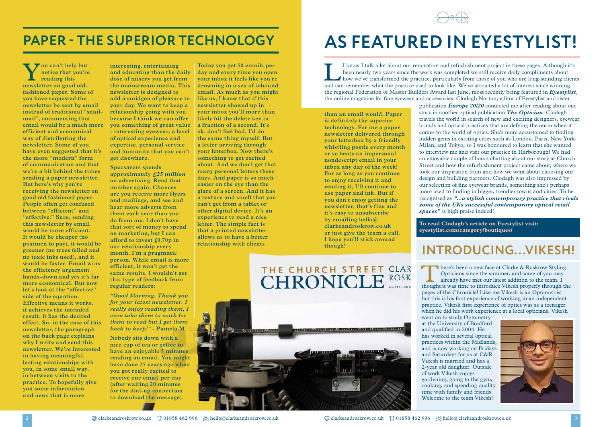### **INTRODUCING...VIKESH!**

There's been a new face at Clarke & Roskrow Styling<br>Opticians since the summer, and some of you may<br>already have met our latest addition to the team. I<br>thought it was time to introduce Vikesh properly through the Opticians since the summer, and some of you may already have met our latest addition to the team. I thought it was time to introduce Vikesh properly through the pages of the Chronicle! Like me Vikesh is an Optometrist but this is his first experience of working in an independent practice. Vikesh first experience of optics was as a teenager when he did his work experience at a local opticians. Vikesh



went on to study Optometry at the University of Bradford and qualified in 2004. He has worked in several optical practices within the Midlands, and is now working on Fridays and Saturdays for us at C&R. Vikesh is married and has a 2-year old daughter. Outside of work Vikesh enjoys gardening, going to the gym, cooking, and spending quality time with family and friends. Welcome to the team Vikesh!



### **PAPER - THE SUPERIOR TECHNOLOGY AS FEATURED IN EYESTYLIST!**

I know I talk a lot about our renovation and refurbishment project in these pages. Although it's<br>been nearly two years since the work was completed we still receive daily compliments about<br>how we've transformed the practic been nearly two years since the work was completed we still receive daily compliments about how we've transformed the practice, particularly from those of you who are long-standing clients and can remember what the practice used to look like. We've attracted a lot of interest since winning the regional Federation of Master Builders Award last June, most recently being featured in *Eyestylist*, the online magazine for fine eyewear and accessories. Clodagh Norton, editor of Eyestylist and sister publication *Europe 20/20* contacted me after reading about our story in another optical publication *The Optician*. Clodagh travels the world in search of new and exciting designers, eyewear brands and optical practices that are defying the norm when it comes to the world of optics. She's more accustomed to finding hidden gems in exciting cities such as London, Paris, New York, Milan, and Tokyo, so I was honoured to learn that she wanted to interview me and visit our practice in Harborough! We had an enjoyable couple of hours chatting about our story at Church Street and how the refurbishment project came about; where we took our inspiration from and how we went about choosing our design and building partners. Clodagh was also impressed by our selection of fine eyewear brands, something she's perhaps more used to finding in bigger, trendier towns and cities. To be recognised as *"...a stylish contemporary practice that rivals some of the UKs successful contemporary optical retail spaces"* is high praise indeed! **than an email would. Paper** 

> **To read Clodagh's article on Eyestylist visit: eyestylist.com/category/boutiques/**

**is definitely the superior technology. For me a paper newsletter delivered through your letterbox by a friendly whistling postie every month or so beats an impersonal nondescript email in your inbox any day of the week! For as long as you continue to enjoy receiving it and reading it, I'll continue to use paper and ink. But if you don't enjoy getting the newsletter, that's fine and it's easy to unsubscribe by emailing hello@ clarkeandroskrow.co.uk or just give the team a call. I hope you'll stick around though!**

Y**ou can't help but notice that you're reading this newsletter on good oldfashioned paper. Some of you have requested the newsletter be sent by email instead of traditional "snailmail", commenting that email would be a much more efficient and economical way of distributing the newsletter. Some of you have even suggested that it's the more "modern" form of communication and that we're a bit behind the times sending a paper newsletter. But here's why you're receiving the newsletter on good old fashioned paper. People often get confused between "efficient" and "effective." Sure, sending this newsletter by email would be more efficient. It would be cheaper (no postmen to pay), it would be greener (no trees felled and no toxic inks used), and it would be faster. Email wins the efficiency argument hands-down and yes it's far more economical. But now let's look at the "effective" side of the equation. Effective means it works, it achieves the intended result, it has the desired effect. So, in the case of this newsletter, the paragraph on the back page explains why I write and send this newsletter. We're interested in having meaningful, lasting relationships with you, in some small way, in between visits to the practice. To hopefully give you some information and news that is more** 

**interesting, entertaining and educating than the daily dose of misery you get from the mainstream media. This newsletter is designed to add a smidgen of pleasure to like us, I know that if this your day. We want to keep a relationship going with you because I think we can offer you something of great value - interesting eyewear, a level of optical experience and expertise, personal service and humanity that you can't get elsewhere.**

**Specsavers spends approximately** *£25 million* **on advertising. Read that number again. Chances**  are you receive more flyers **and mailings, and see and hear more adverts from them each year than you do from me. I don't have that sort of money to spend on marketing, but I can afford to invest £0.70p in our relationship every month. I'm a pragmatic person. While email is more efficient, it won't get the same results. I wouldn't get this type of feedback from regular readers:**

*"Good Morning, Thank you for your latest newsletter. I really enjoy reading them, I even take them to work for them to read but I get them back to keep!"* **- Pamela M.**

**Nobody sits down with a nice cup of tea or coffee to have an enjoyable 5 minutes reading an email. You might have done 25 years ago when you got really excited to receive one email per day (after waiting 20 minutes for the dial-up connection to download the message).** 

**Today you get 50 emails per day and every time you open your inbox it feels like you're drowning in a sea of inbound email. As much as you might newsletter showed up in your inbox you'll more than likely hit the delete key in a fraction of a second. It's ok, don't feel bad, I'd do the same thing myself. But a letter arriving through your letterbox. Now there's something to get excited about. And we don't get that many personal letters these days. And paper is so much easier on the eye than the glare of a screen. And it has a texture and smell that you can't get from a tablet or other digital device. It's an experience to read a nice letter. The simple fact is that a printed newsletter allows us to have a better relationship with clients**